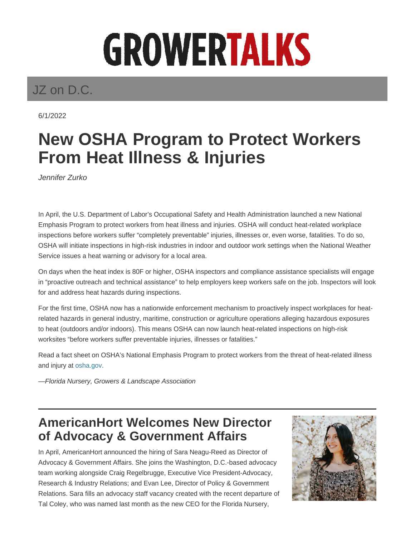# GROWERTALKS

## JZ on D.C.

6/1/2022

## **New OSHA Program to Protect Workers From Heat Illness & Injuries**

Jennifer Zurko

In April, the U.S. Department of Labor's Occupational Safety and Health Administration launched a new National Emphasis Program to protect workers from heat illness and injuries. OSHA will conduct heat-related workplace inspections before workers suffer "completely preventable" injuries, illnesses or, even worse, fatalities. To do so, OSHA will initiate inspections in high-risk industries in indoor and outdoor work settings when the National Weather Service issues a heat warning or advisory for a local area.

On days when the heat index is 80F or higher, OSHA inspectors and compliance assistance specialists will engage in "proactive outreach and technical assistance" to help employers keep workers safe on the job. Inspectors will look for and address heat hazards during inspections.

For the first time, OSHA now has a nationwide enforcement mechanism to proactively inspect workplaces for heatrelated hazards in general industry, maritime, construction or agriculture operations alleging hazardous exposures to heat (outdoors and/or indoors). This means OSHA can now launch heat-related inspections on high-risk worksites "before workers suffer preventable injuries, illnesses or fatalities."

Read a fact sheet on OSHA's National Emphasis Program to protect workers from the threat of heat-related illness and injury at osha.gov.

—Florida Nursery, Growers & Landscape Association

#### **AmericanHort Welcomes New Director of Advocacy & Government Affairs**

In April, AmericanHort announced the hiring of Sara Neagu-Reed as Director of Advocacy & Government Affairs. She joins the Washington, D.C.-based advocacy team working alongside Craig Regelbrugge, Executive Vice President-Advocacy, Research & Industry Relations; and Evan Lee, Director of Policy & Government Relations. Sara fills an advocacy staff vacancy created with the recent departure of Tal Coley, who was named last month as the new CEO for the Florida Nursery,

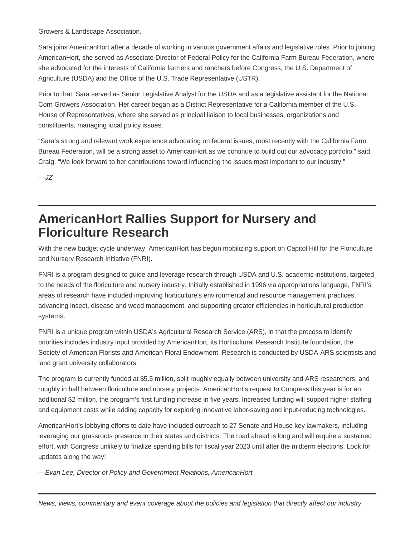Growers & Landscape Association.

Sara joins AmericanHort after a decade of working in various government affairs and legislative roles. Prior to joining AmericanHort, she served as Associate Director of Federal Policy for the California Farm Bureau Federation, where she advocated for the interests of California farmers and ranchers before Congress, the U.S. Department of Agriculture (USDA) and the Office of the U.S. Trade Representative (USTR).

Prior to that, Sara served as Senior Legislative Analyst for the USDA and as a legislative assistant for the National Corn Growers Association. Her career began as a District Representative for a California member of the U.S. House of Representatives, where she served as principal liaison to local businesses, organizations and constituents, managing local policy issues.

"Sara's strong and relevant work experience advocating on federal issues, most recently with the California Farm Bureau Federation, will be a strong asset to AmericanHort as we continue to build out our advocacy portfolio," said Craig. "We look forward to her contributions toward influencing the issues most important to our industry."

 $-JZ$ 

### **AmericanHort Rallies Support for Nursery and Floriculture Research**

With the new budget cycle underway, AmericanHort has begun mobilizing support on Capitol Hill for the Floriculture and Nursery Research Initiative (FNRI).

FNRI is a program designed to guide and leverage research through USDA and U.S. academic institutions, targeted to the needs of the floriculture and nursery industry. Initially established in 1996 via appropriations language, FNRI's areas of research have included improving horticulture's environmental and resource management practices, advancing insect, disease and weed management, and supporting greater efficiencies in horticultural production systems.

FNRI is a unique program within USDA's Agricultural Research Service (ARS), in that the process to identify priorities includes industry input provided by AmericanHort, its Horticultural Research Institute foundation, the Society of American Florists and American Floral Endowment. Research is conducted by USDA-ARS scientists and land grant university collaborators.

The program is currently funded at \$5.5 million, split roughly equally between university and ARS researchers, and roughly in half between floriculture and nursery projects. AmericanHort's request to Congress this year is for an additional \$2 million, the program's first funding increase in five years. Increased funding will support higher staffing and equipment costs while adding capacity for exploring innovative labor-saving and input-reducing technologies.

AmericanHort's lobbying efforts to date have included outreach to 27 Senate and House key lawmakers, including leveraging our grassroots presence in their states and districts. The road ahead is long and will require a sustained effort, with Congress unlikely to finalize spending bills for fiscal year 2023 until after the midterm elections. Look for updates along the way!

—Evan Lee, Director of Policy and Government Relations, AmericanHort